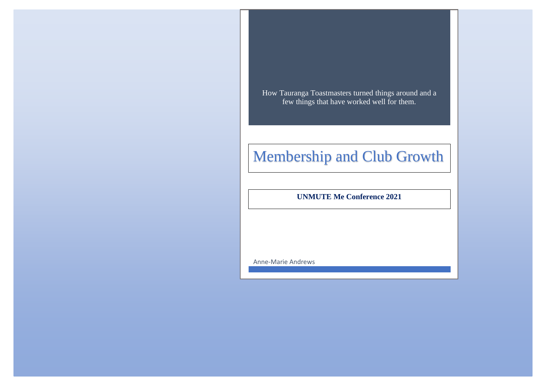How Tauranga Toastmasters turned things around and a few things that have worked well for them.

# Membership and Club Growth

**UNMUTE Me Conference 2021**

Anne-Marie Andrews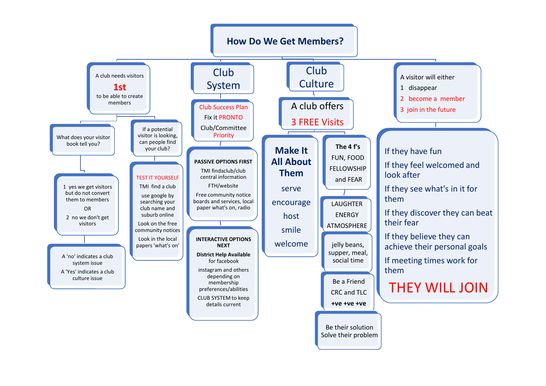# **How Do We Get Members?**

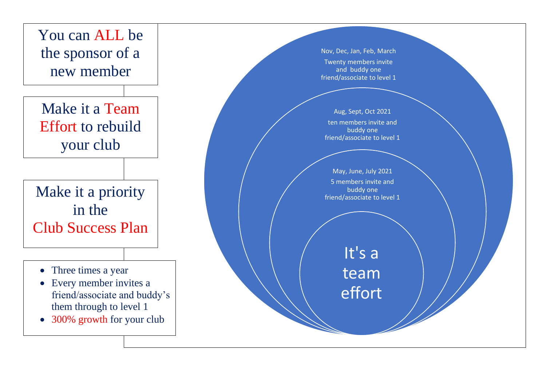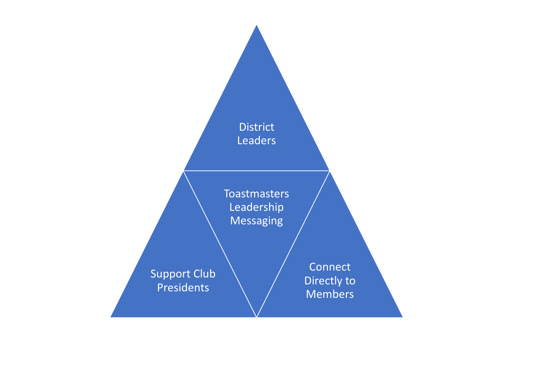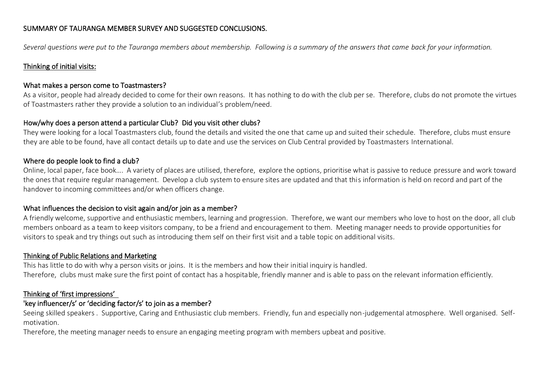# SUMMARY OF TAURANGA MEMBER SURVEY AND SUGGESTED CONCLUSIONS.

*Several questions were put to the Tauranga members about membership. Following is a summary of the answers that came back for your information.*

#### Thinking of initial visits:

#### What makes a person come to Toastmasters?

As a visitor, people had already decided to come for their own reasons. It has nothing to do with the club per se. Therefore, clubs do not promote the virtues of Toastmasters rather they provide a solution to an individual's problem/need.

### How/why does a person attend a particular Club? Did you visit other clubs?

They were looking for a local Toastmasters club, found the details and visited the one that came up and suited their schedule. Therefore, clubs must ensure they are able to be found, have all contact details up to date and use the services on Club Central provided by Toastmasters International.

### Where do people look to find a club?

Online, local paper, face book…. A variety of places are utilised, therefore, explore the options, prioritise what is passive to reduce pressure and work toward the ones that require regular management. Develop a club system to ensure sites are updated and that this information is held on record and part of the handover to incoming committees and/or when officers change.

#### What influences the decision to visit again and/or join as a member?

A friendly welcome, supportive and enthusiastic members, learning and progression. Therefore, we want our members who love to host on the door, all club members onboard as a team to keep visitors company, to be a friend and encouragement to them. Meeting manager needs to provide opportunities for visitors to speak and try things out such as introducing them self on their first visit and a table topic on additional visits.

#### Thinking of Public Relations and Marketing

This has little to do with why a person visits or joins. It is the members and how their initial inquiry is handled. Therefore, clubs must make sure the first point of contact has a hospitable, friendly manner and is able to pass on the relevant information efficiently.

# Thinking of 'first impressions'

# 'key influencer/s' or 'deciding factor/s' to join as a member?

Seeing skilled speakers . Supportive, Caring and Enthusiastic club members. Friendly, fun and especially non-judgemental atmosphere. Well organised. Selfmotivation.

Therefore, the meeting manager needs to ensure an engaging meeting program with members upbeat and positive.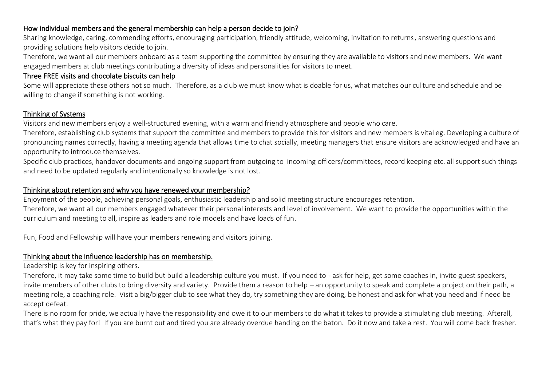# How individual members and the general membership can help a person decide to join?

Sharing knowledge, caring, commending efforts, encouraging participation, friendly attitude, welcoming, invitation to returns, answering questions and providing solutions help visitors decide to join.

Therefore, we want all our members onboard as a team supporting the committee by ensuring they are available to visitors and new members. We want engaged members at club meetings contributing a diversity of ideas and personalities for visitors to meet.

# Three FREE visits and chocolate biscuits can help

Some will appreciate these others not so much. Therefore, as a club we must know what is doable for us, what matches our culture and schedule and be willing to change if something is not working.

# Thinking of Systems

Visitors and new members enjoy a well-structured evening, with a warm and friendly atmosphere and people who care.

Therefore, establishing club systems that support the committee and members to provide this for visitors and new members is vital eg. Developing a culture of pronouncing names correctly, having a meeting agenda that allows time to chat socially, meeting managers that ensure visitors are acknowledged and have an opportunity to introduce themselves.

Specific club practices, handover documents and ongoing support from outgoing to incoming officers/committees, record keeping etc. all support such things and need to be updated regularly and intentionally so knowledge is not lost.

# Thinking about retention and why you have renewed your membership?

Enjoyment of the people, achieving personal goals, enthusiastic leadership and solid meeting structure encourages retention.

Therefore, we want all our members engaged whatever their personal interests and level of involvement. We want to provide the opportunities within the curriculum and meeting to all, inspire as leaders and role models and have loads of fun.

Fun, Food and Fellowship will have your members renewing and visitors joining.

# Thinking about the influence leadership has on membership.

Leadership is key for inspiring others.

Therefore, it may take some time to build but build a leadership culture you must. If you need to - ask for help, get some coaches in, invite guest speakers, invite members of other clubs to bring diversity and variety. Provide them a reason to help – an opportunity to speak and complete a project on their path, a meeting role, a coaching role. Visit a big/bigger club to see what they do, try something they are doing, be honest and ask for what you need and if need be accept defeat.

There is no room for pride, we actually have the responsibility and owe it to our members to do what it takes to provide a stimulating club meeting. Afterall, that's what they pay for! If you are burnt out and tired you are already overdue handing on the baton. Do it now and take a rest. You will come back fresher.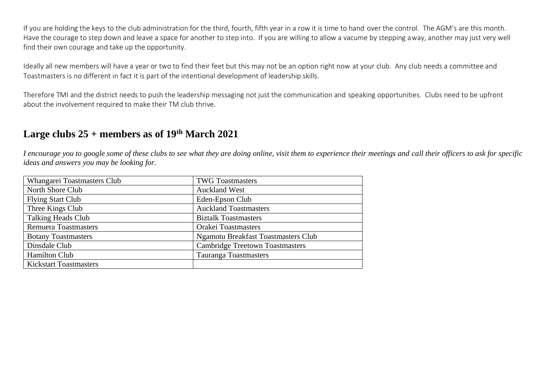If you are holding the keys to the club administration for the third, fourth, fifth year in a row it is time to hand over the control. The AGM's are this month. Have the courage to step down and leave a space for another to step into. If you are willing to allow a vacume by stepping away, another may just very well find their own courage and take up the opportunity.

Ideally all new members will have a year or two to find their feet but this may not be an option right now at your club. Any club needs a committee and Toastmasters is no different in fact it is part of the intentional development of leadership skills.

Therefore TMI and the district needs to push the leadership messaging not just the communication and speaking opportunities. Clubs need to be upfront about the involvement required to make their TM club thrive.

# **Large clubs 25 + members as of 19th March 2021**

*I encourage you to google some of these clubs to see what they are doing online, visit them to experience their meetings and call their officers to ask for specific ideas and answers you may be looking for.*

| Whangarei Toastmasters Club   | <b>TWG Toastmasters</b>                    |  |
|-------------------------------|--------------------------------------------|--|
| North Shore Club              | <b>Auckland West</b>                       |  |
| <b>Flying Start Club</b>      | Eden-Epson Club                            |  |
| Three Kings Club              | <b>Auckland Toastmasters</b>               |  |
| <b>Talking Heads Club</b>     | <b>Biztalk Toastmasters</b>                |  |
| <b>Remuera Toastmasters</b>   | <b>Orakei Toastmasters</b>                 |  |
| <b>Botany Toastmasters</b>    | <b>Ngamotu Breakfast Toastmasters Club</b> |  |
| Dinsdale Club                 | <b>Cambridge Treetown Toastmasters</b>     |  |
| <b>Hamilton Club</b>          | <b>Tauranga Toastmasters</b>               |  |
| <b>Kickstart Toastmasters</b> |                                            |  |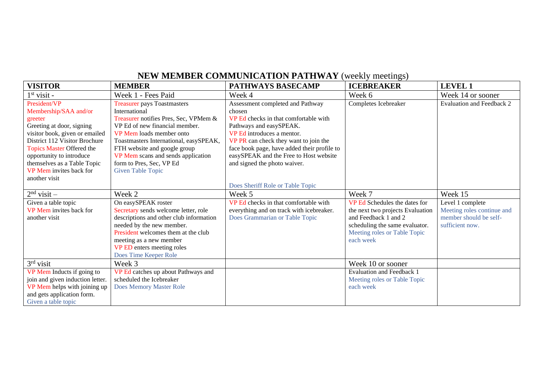# **NEW MEMBER COMMUNICATION PATHWAY** (weekly meetings)

| <b>VISITOR</b>                   | <b>MEMBER</b>                           | <b>PATHWAYS BASECAMP</b>                    | <b>ICEBREAKER</b>                | <b>LEVEL 1</b>             |
|----------------------------------|-----------------------------------------|---------------------------------------------|----------------------------------|----------------------------|
| $1st$ visit -                    | Week 1 - Fees Paid                      | Week 4                                      | Week 6                           | Week 14 or sooner          |
| President/VP                     | <b>Treasurer pays Toastmasters</b>      | Assessment completed and Pathway            | Completes Icebreaker             | Evaluation and Feedback 2  |
| Membership/SAA and/or            | International                           | chosen                                      |                                  |                            |
| greeter                          | Treasurer notifies Pres, Sec, VPMem &   | VP Ed checks in that comfortable with       |                                  |                            |
| Greeting at door, signing        | VP Ed of new financial member.          | Pathways and easySPEAK.                     |                                  |                            |
| visitor book, given or emailed   | VP Mem loads member onto                | VP Ed introduces a mentor.                  |                                  |                            |
| District 112 Visitor Brochure    | Toastmasters International, easySPEAK,  | VP PR can check they want to join the       |                                  |                            |
| <b>Topics Master Offered the</b> | FTH website and google group            | face book page, have added their profile to |                                  |                            |
| opportunity to introduce         | VP Mem scans and sends application      | easySPEAK and the Free to Host website      |                                  |                            |
| themselves as a Table Topic      | form to Pres, Sec, VP Ed                | and signed the photo waiver.                |                                  |                            |
| VP Mem invites back for          | <b>Given Table Topic</b>                |                                             |                                  |                            |
| another visit                    |                                         |                                             |                                  |                            |
|                                  |                                         | Does Sheriff Role or Table Topic            |                                  |                            |
| $2nd$ visit –                    | Week 2                                  | Week 5                                      | Week 7                           | Week 15                    |
| Given a table topic              | On easySPEAK roster                     | VP Ed checks in that comfortable with       | VP Ed Schedules the dates for    | Level 1 complete           |
| VP Mem invites back for          | Secretary sends welcome letter, role    | everything and on track with icebreaker.    | the next two projects Evaluation | Meeting roles continue and |
| another visit                    | descriptions and other club information | Does Grammarian or Table Topic              | and Feedback 1 and 2             | member should be self-     |
|                                  | needed by the new member.               |                                             | scheduling the same evaluator.   | sufficient now.            |
|                                  | President welcomes them at the club     |                                             | Meeting roles or Table Topic     |                            |
|                                  | meeting as a new member                 |                                             | each week                        |                            |
|                                  | VP ED enters meeting roles              |                                             |                                  |                            |
|                                  | Does Time Keeper Role                   |                                             |                                  |                            |
| $3rd$ visit                      | Week 3                                  |                                             | Week 10 or sooner                |                            |
| VP Mem Inducts if going to       | VP Ed catches up about Pathways and     |                                             | <b>Evaluation and Feedback 1</b> |                            |
| join and given induction letter. | scheduled the Icebreaker                |                                             | Meeting roles or Table Topic     |                            |
| VP Mem helps with joining up     | <b>Does Memory Master Role</b>          |                                             | each week                        |                            |
| and gets application form.       |                                         |                                             |                                  |                            |
| Given a table topic              |                                         |                                             |                                  |                            |